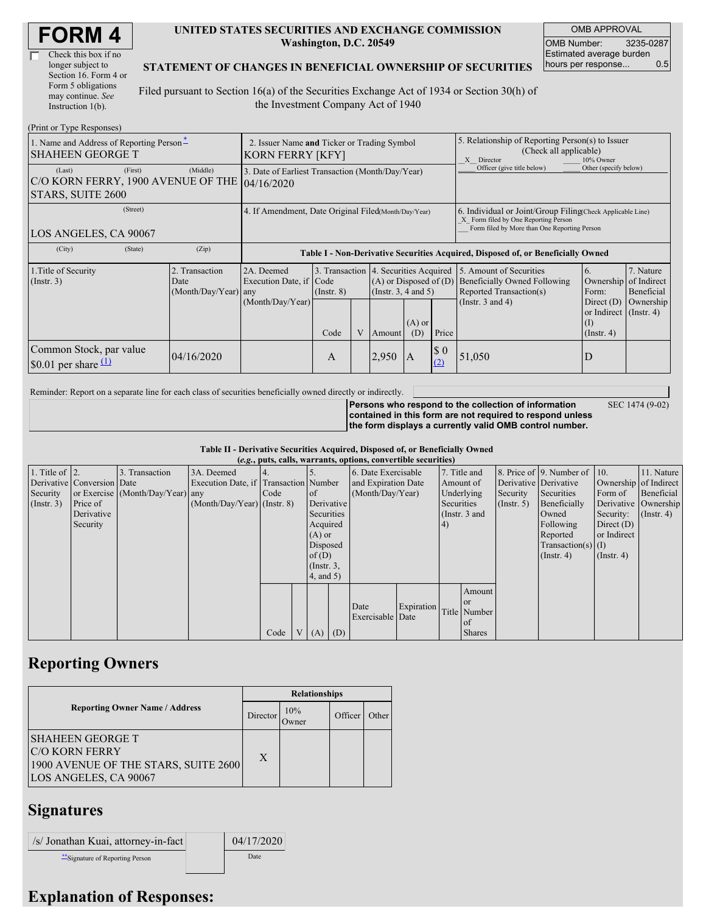| <b>FORM4</b> |  |
|--------------|--|
|--------------|--|

| Check this box if no  |
|-----------------------|
| longer subject to     |
| Section 16. Form 4 or |
| Form 5 obligations    |
| may continue. See     |
| Instruction 1(b).     |

#### **UNITED STATES SECURITIES AND EXCHANGE COMMISSION Washington, D.C. 20549**

OMB APPROVAL OMB Number: 3235-0287 Estimated average burden hours per response... 0.5

SEC 1474 (9-02)

### **STATEMENT OF CHANGES IN BENEFICIAL OWNERSHIP OF SECURITIES**

Filed pursuant to Section 16(a) of the Securities Exchange Act of 1934 or Section 30(h) of the Investment Company Act of 1940

| (Print or Type Responses)                                           |                                                                        |                                                |                                                           |                 |                                                                                  |                                                                                                 |                                                                                                       |                            |                                                                                                                                                    |                                                                  |                                                     |
|---------------------------------------------------------------------|------------------------------------------------------------------------|------------------------------------------------|-----------------------------------------------------------|-----------------|----------------------------------------------------------------------------------|-------------------------------------------------------------------------------------------------|-------------------------------------------------------------------------------------------------------|----------------------------|----------------------------------------------------------------------------------------------------------------------------------------------------|------------------------------------------------------------------|-----------------------------------------------------|
| 1. Name and Address of Reporting Person-<br><b>SHAHEEN GEORGE T</b> | 2. Issuer Name and Ticker or Trading Symbol<br><b>KORN FERRY [KFY]</b> |                                                |                                                           |                 |                                                                                  |                                                                                                 | 5. Relationship of Reporting Person(s) to Issuer<br>(Check all applicable)<br>X Director<br>10% Owner |                            |                                                                                                                                                    |                                                                  |                                                     |
| (Last)<br>C/O KORN FERRY, 1900 AVENUE OF THE 04/16/2020             | (First)                                                                | (Middle)                                       | 3. Date of Earliest Transaction (Month/Day/Year)          |                 |                                                                                  |                                                                                                 |                                                                                                       | Officer (give title below) | Other (specify below)                                                                                                                              |                                                                  |                                                     |
| STARS, SUITE 2600                                                   |                                                                        |                                                |                                                           |                 |                                                                                  |                                                                                                 |                                                                                                       |                            |                                                                                                                                                    |                                                                  |                                                     |
| (Street)<br>LOS ANGELES, CA 90067                                   |                                                                        |                                                | 4. If Amendment, Date Original Filed Month/Day/Year)      |                 |                                                                                  |                                                                                                 |                                                                                                       |                            | 6. Individual or Joint/Group Filing(Check Applicable Line)<br>X Form filed by One Reporting Person<br>Form filed by More than One Reporting Person |                                                                  |                                                     |
| (City)<br>(State)<br>(Zip)                                          |                                                                        |                                                |                                                           |                 | Table I - Non-Derivative Securities Acquired, Disposed of, or Beneficially Owned |                                                                                                 |                                                                                                       |                            |                                                                                                                                                    |                                                                  |                                                     |
| 1. Title of Security<br>(Insert. 3)                                 |                                                                        | 2. Transaction<br>Date<br>(Month/Day/Year) any | 2A. Deemed<br>Execution Date, if Code<br>(Month/Day/Year) | $($ Instr. $8)$ |                                                                                  | 3. Transaction 4. Securities Acquired<br>$(A)$ or Disposed of $(D)$<br>(Instr. $3, 4$ and $5$ ) |                                                                                                       |                            | 5. Amount of Securities<br><b>Beneficially Owned Following</b><br>Reported Transaction(s)<br>(Instr. $3$ and $4$ )                                 | 6.<br>Ownership<br>Form:<br>Direct $(D)$                         | 7. Nature<br>of Indirect<br>Beneficial<br>Ownership |
|                                                                     |                                                                        |                                                |                                                           | Code            | $\mathbf{V}$                                                                     | Amount                                                                                          | $(A)$ or<br>(D)                                                                                       | Price                      |                                                                                                                                                    | or Indirect $($ Instr. 4 $)$<br>$\rm _{(1)}$<br>$($ Instr. 4 $)$ |                                                     |
| Common Stock, par value<br>\$0.01 per share $(1)$                   |                                                                        | 04/16/2020                                     |                                                           | A               |                                                                                  | 2,950                                                                                           | $\overline{A}$                                                                                        | \$0<br>(2)                 | 51,050                                                                                                                                             | D                                                                |                                                     |

Reminder: Report on a separate line for each class of securities beneficially owned directly or indirectly.

**Persons who respond to the collection of information contained in this form are not required to respond unless the form displays a currently valid OMB control number.**

**Table II - Derivative Securities Acquired, Disposed of, or Beneficially Owned**

| (e.g., puts, calls, warrants, options, convertible securities) |                            |                                  |                                       |      |                |                 |                     |                     |            |               |                       |               |                              |                      |               |
|----------------------------------------------------------------|----------------------------|----------------------------------|---------------------------------------|------|----------------|-----------------|---------------------|---------------------|------------|---------------|-----------------------|---------------|------------------------------|----------------------|---------------|
| 1. Title of $\vert$ 2.                                         |                            | 3. Transaction                   | 3A. Deemed                            |      |                |                 |                     | 6. Date Exercisable |            | 7. Title and  |                       |               | 8. Price of 9. Number of 10. |                      | 11. Nature    |
|                                                                | Derivative Conversion Date |                                  | Execution Date, if Transaction Number |      |                |                 | and Expiration Date |                     | Amount of  |               | Derivative Derivative |               | Ownership of Indirect        |                      |               |
| Security                                                       |                            | or Exercise (Month/Day/Year) any |                                       | Code |                | <sub>of</sub>   | (Month/Day/Year)    |                     | Underlying |               | Security              | Securities    | Form of                      | Beneficial           |               |
| $($ Instr. 3 $)$                                               | Price of                   |                                  | $(Month/Day/Year)$ (Instr. 8)         |      |                | Derivative      |                     |                     |            | Securities    |                       | $($ Instr. 5) | Beneficially                 | Derivative Ownership |               |
|                                                                | Derivative                 |                                  |                                       |      |                | Securities      |                     |                     |            | (Instr. 3 and |                       |               | Owned                        | Security:            | $($ Instr. 4) |
|                                                                | Security                   |                                  |                                       |      |                | Acquired        |                     |                     |            | (4)           |                       |               | Following                    | Direct $(D)$         |               |
|                                                                |                            |                                  |                                       |      |                | $(A)$ or        |                     |                     |            |               |                       |               | Reported                     | or Indirect          |               |
|                                                                |                            |                                  |                                       |      |                | Disposed        |                     |                     |            |               |                       |               | $Transaction(s)$ (I)         |                      |               |
|                                                                |                            |                                  |                                       |      |                | of(D)           |                     |                     |            |               |                       |               | $($ Instr. 4 $)$             | $($ Instr. 4 $)$     |               |
|                                                                |                            |                                  |                                       |      |                | $($ Instr. $3,$ |                     |                     |            |               |                       |               |                              |                      |               |
|                                                                |                            |                                  |                                       |      |                | 4, and 5)       |                     |                     |            |               |                       |               |                              |                      |               |
|                                                                |                            |                                  |                                       |      |                |                 |                     |                     |            |               | Amount                |               |                              |                      |               |
|                                                                |                            |                                  |                                       |      |                |                 |                     | Date                | Expiration |               | <sub>or</sub>         |               |                              |                      |               |
|                                                                |                            |                                  |                                       |      |                |                 |                     | Exercisable Date    |            |               | Title Number          |               |                              |                      |               |
|                                                                |                            |                                  |                                       |      |                |                 |                     |                     |            |               | of                    |               |                              |                      |               |
|                                                                |                            |                                  |                                       | Code | V <sub>1</sub> | $(A)$ $(D)$     |                     |                     |            |               | <b>Shares</b>         |               |                              |                      |               |

### **Reporting Owners**

|                                                                                                                   | <b>Relationships</b> |                      |         |       |  |  |  |
|-------------------------------------------------------------------------------------------------------------------|----------------------|----------------------|---------|-------|--|--|--|
| <b>Reporting Owner Name / Address</b>                                                                             | Director             | 10%<br><b>J</b> wner | Officer | Other |  |  |  |
| <b>SHAHEEN GEORGE T</b><br><b>C/O KORN FERRY</b><br>1900 AVENUE OF THE STARS, SUITE 2600<br>LOS ANGELES, CA 90067 | X                    |                      |         |       |  |  |  |

## **Signatures**

| /s/ Jonathan Kuai, attorney-in-fact | 04/17/2020 |
|-------------------------------------|------------|
| ** Signature of Reporting Person    | Date       |

# **Explanation of Responses:**